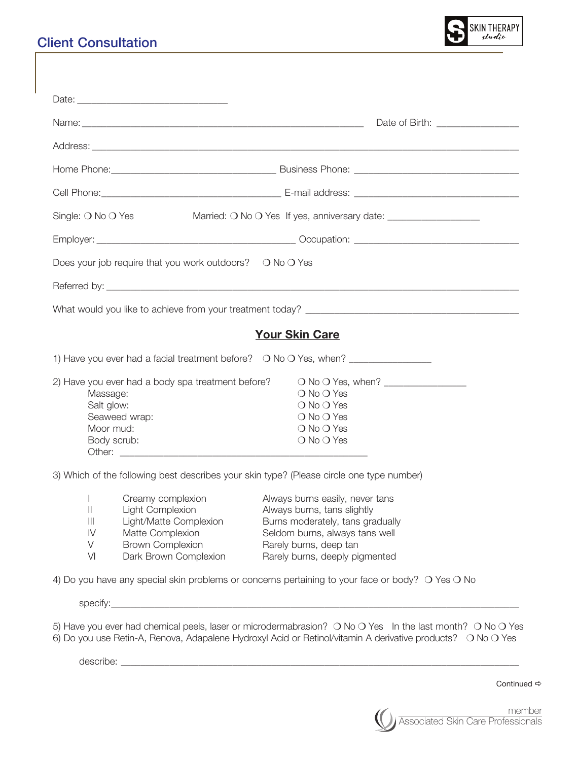## Client Consultation



| Date of Birth: ____________________                                                                    |                                                                            |                                                                                                                                            |  |  |
|--------------------------------------------------------------------------------------------------------|----------------------------------------------------------------------------|--------------------------------------------------------------------------------------------------------------------------------------------|--|--|
|                                                                                                        |                                                                            |                                                                                                                                            |  |  |
|                                                                                                        |                                                                            |                                                                                                                                            |  |  |
|                                                                                                        |                                                                            |                                                                                                                                            |  |  |
| Single: O No O Yes<br>Married: O No O Yes If yes, anniversary date: __________________________________ |                                                                            |                                                                                                                                            |  |  |
|                                                                                                        |                                                                            |                                                                                                                                            |  |  |
|                                                                                                        | Does your job require that you work outdoors? $\bigcirc$ No $\bigcirc$ Yes |                                                                                                                                            |  |  |
|                                                                                                        |                                                                            |                                                                                                                                            |  |  |
|                                                                                                        |                                                                            |                                                                                                                                            |  |  |
|                                                                                                        |                                                                            | <b>Your Skin Care</b>                                                                                                                      |  |  |
|                                                                                                        |                                                                            | 1) Have you ever had a facial treatment before? O No O Yes, when? ______________                                                           |  |  |
| Massage:<br>Salt glow:<br>Moor mud:<br>Body scrub:                                                     | 2) Have you ever had a body spa treatment before?<br>Seaweed wrap:         | $\bigcirc$ No $\bigcirc$ Yes<br>$\bigcirc$ No $\bigcirc$ Yes<br>○ No ○ Yes<br>$\bigcirc$ No $\bigcirc$ Yes<br>$\bigcirc$ No $\bigcirc$ Yes |  |  |
|                                                                                                        |                                                                            | 3) Which of the following best describes your skin type? (Please circle one type number)                                                   |  |  |
| $\mathbf{L}$<br>Ш<br>$\mathbf{III}$                                                                    | Creamy complexion<br>Light Complexion<br>Light/Matte Complexion            | Always burns easily, never tans<br>Always burns, tans slightly<br>Burns moderately, tans gradually                                         |  |  |

V Brown Complexion Rarely burns, deep tan

IV Matte Complexion Seldom burns, always tans well VI Dark Brown Complexion Rarely burns, deeply pigmented

4) Do you have any special skin problems or concerns pertaining to your face or body?  $\bigcirc$  Yes  $\bigcirc$  No

specify:\_\_\_\_\_\_\_\_\_\_\_\_\_\_\_\_\_\_\_\_\_\_\_\_\_\_\_\_\_\_\_\_\_\_\_\_\_\_\_\_\_\_\_\_\_\_\_\_\_\_\_\_\_\_\_\_\_\_\_\_\_\_\_\_\_\_\_\_\_\_\_\_\_\_\_\_\_\_\_\_\_\_\_\_

5) Have you ever had chemical peels, laser or microdermabrasion?  $\bigcirc$  No  $\bigcirc$  Yes In the last month?  $\bigcirc$  No  $\bigcirc$  Yes 6) Do you use Retin-A, Renova, Adapalene Hydroxyl Acid or Retinol/vitamin A derivative products? O No O Yes

describe:

Continued  $\Rightarrow$ 

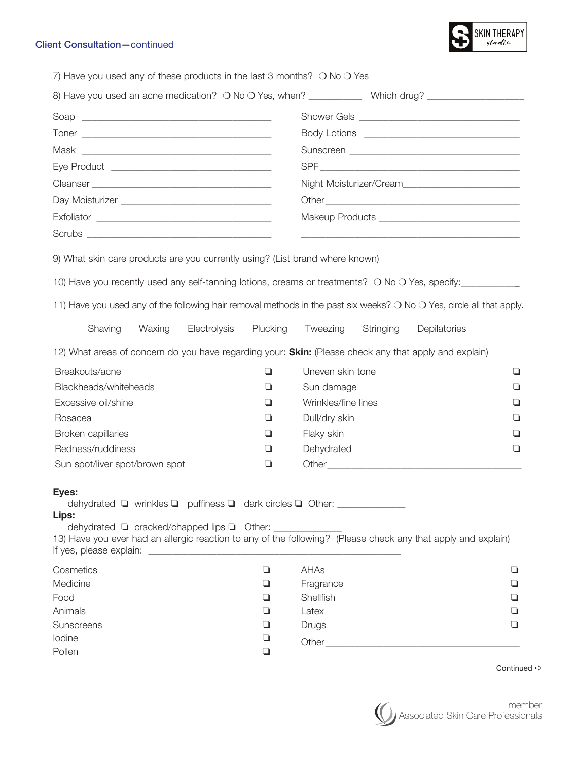## Client Consultation—continued



| 7) Have you used any of these products in the last 3 months? $\bigcirc$ No $\bigcirc$ Yes                                                            |        |              |           |                     |           |                                                                                                                       |   |
|------------------------------------------------------------------------------------------------------------------------------------------------------|--------|--------------|-----------|---------------------|-----------|-----------------------------------------------------------------------------------------------------------------------|---|
|                                                                                                                                                      |        |              |           |                     |           | 8) Have you used an acne medication? O No O Yes, when? ______________ Which drug? __________________                  |   |
|                                                                                                                                                      |        |              |           |                     |           |                                                                                                                       |   |
|                                                                                                                                                      |        |              |           |                     |           |                                                                                                                       |   |
|                                                                                                                                                      |        |              |           |                     |           |                                                                                                                       |   |
|                                                                                                                                                      |        |              |           |                     |           |                                                                                                                       |   |
|                                                                                                                                                      |        |              |           |                     |           |                                                                                                                       |   |
|                                                                                                                                                      |        |              |           |                     |           |                                                                                                                       |   |
|                                                                                                                                                      |        |              |           |                     |           | Makeup Products __________________________________                                                                    |   |
|                                                                                                                                                      |        |              |           |                     |           |                                                                                                                       |   |
|                                                                                                                                                      |        |              |           |                     |           |                                                                                                                       |   |
| 9) What skin care products are you currently using? (List brand where known)                                                                         |        |              |           |                     |           |                                                                                                                       |   |
|                                                                                                                                                      |        |              |           |                     |           | 10) Have you recently used any self-tanning lotions, creams or treatments? O No O Yes, specify:                       |   |
|                                                                                                                                                      |        |              |           |                     |           | 11) Have you used any of the following hair removal methods in the past six weeks? O No O Yes, circle all that apply. |   |
| Shaving                                                                                                                                              | Waxing | Electrolysis | Plucking  | Tweezing            | Stringing | Depilatories                                                                                                          |   |
|                                                                                                                                                      |        |              |           |                     |           | 12) What areas of concern do you have regarding your: Skin: (Please check any that apply and explain)                 |   |
| Breakouts/acne                                                                                                                                       |        |              | ❏         | Uneven skin tone    |           |                                                                                                                       | ◘ |
| Blackheads/whiteheads                                                                                                                                |        |              | u         | Sun damage          |           |                                                                                                                       | ❏ |
| Excessive oil/shine                                                                                                                                  |        |              | ❏         | Wrinkles/fine lines |           |                                                                                                                       | ப |
| Rosacea                                                                                                                                              |        |              | u         | Dull/dry skin       |           |                                                                                                                       | ⊔ |
| Broken capillaries                                                                                                                                   |        |              | ❏         | Flaky skin          |           |                                                                                                                       | ⊐ |
| Redness/ruddiness                                                                                                                                    |        |              | ❏         | Dehydrated          |           |                                                                                                                       | ❏ |
| Sun spot/liver spot/brown spot                                                                                                                       |        |              | ❏         |                     |           |                                                                                                                       |   |
| Eyes:<br>dehydrated ■ wrinkles ■ puffiness ■ dark circles ■ Other: _____________<br>Lips:<br>dehydrated □ cracked/chapped lips □ Other: ____________ |        |              |           |                     |           | 13) Have you ever had an allergic reaction to any of the following? (Please check any that apply and explain)         |   |
| Cosmetics                                                                                                                                            |        |              | ❏         | AHAs                |           |                                                                                                                       | ப |
| Medicine                                                                                                                                             |        |              | ❏         | Fragrance           |           |                                                                                                                       | ⊔ |
| Food                                                                                                                                                 |        | ❏            | Shellfish |                     |           | ⊔                                                                                                                     |   |
| Animals                                                                                                                                              |        | ❏            | Latex     |                     |           | ⊔                                                                                                                     |   |
| Sunscreens                                                                                                                                           |        | ❏            | Drugs     |                     |           | ⊔                                                                                                                     |   |
| lodine                                                                                                                                               |        |              | ❏         |                     |           |                                                                                                                       |   |
| Pollen                                                                                                                                               |        |              | ❏         |                     |           |                                                                                                                       |   |

Continued  $\Rightarrow$